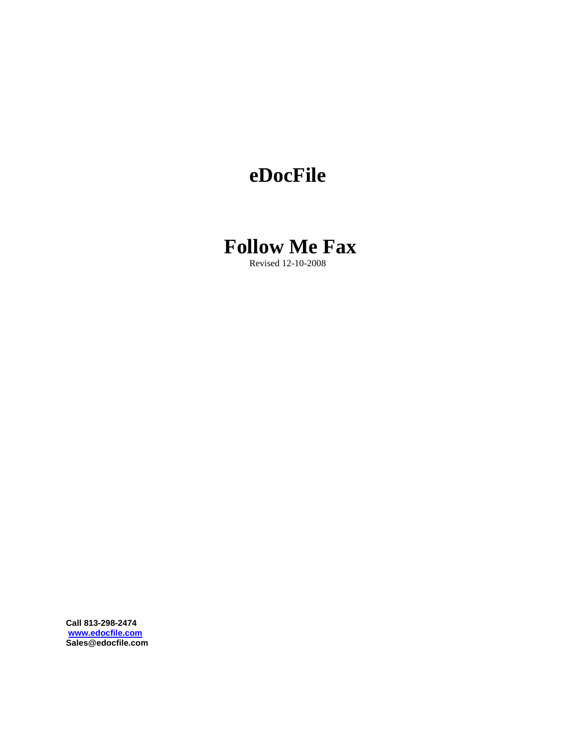## **eDocFile**



Revised 12-10-2008

**Call 813-298-2474 www.edocfile.com Sales@edocfile.com**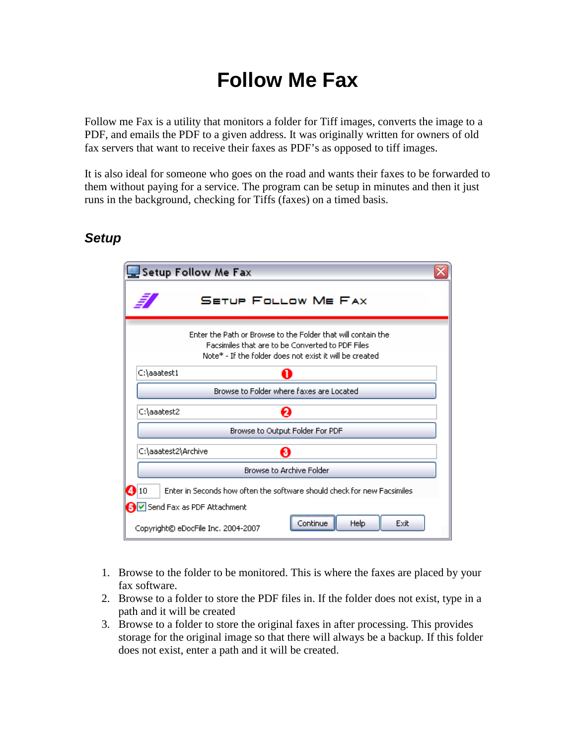# **Follow Me Fax**

Follow me Fax is a utility that monitors a folder for Tiff images, converts the image to a PDF, and emails the PDF to a given address. It was originally written for owners of old fax servers that want to receive their faxes as PDF's as opposed to tiff images.

It is also ideal for someone who goes on the road and wants their faxes to be forwarded to them without paying for a service. The program can be setup in minutes and then it just runs in the background, checking for Tiffs (faxes) on a timed basis.

#### **Setup**

|                                                                                | Setup Follow Me Fax                                                                                                                                                         |  |  |  |
|--------------------------------------------------------------------------------|-----------------------------------------------------------------------------------------------------------------------------------------------------------------------------|--|--|--|
|                                                                                | <b>SETUP FOLLOW ME FAX</b>                                                                                                                                                  |  |  |  |
|                                                                                | Enter the Path or Browse to the Folder that will contain the<br>Facsimiles that are to be Converted to PDF Files<br>Note* - If the folder does not exist it will be created |  |  |  |
| C:\aaatest1                                                                    | П                                                                                                                                                                           |  |  |  |
|                                                                                | Browse to Folder where faxes are Located                                                                                                                                    |  |  |  |
| C:\aaatest2                                                                    | ค                                                                                                                                                                           |  |  |  |
| Browse to Output Folder For PDF                                                |                                                                                                                                                                             |  |  |  |
| C:\aaatest2\Archive                                                            | ❸                                                                                                                                                                           |  |  |  |
| Browse to Archive Folder                                                       |                                                                                                                                                                             |  |  |  |
| 410<br>Enter in Seconds how often the software should check for new Facsimiles |                                                                                                                                                                             |  |  |  |
|                                                                                | S V Send Fax as PDF Attachment                                                                                                                                              |  |  |  |
|                                                                                | Exit<br><b>Help</b><br>Continue.<br>Copyright© eDocFile Inc. 2004-2007                                                                                                      |  |  |  |

- 1. Browse to the folder to be monitored. This is where the faxes are placed by your fax software.
- 2. Browse to a folder to store the PDF files in. If the folder does not exist, type in a path and it will be created
- 3. Browse to a folder to store the original faxes in after processing. This provides storage for the original image so that there will always be a backup. If this folder does not exist, enter a path and it will be created.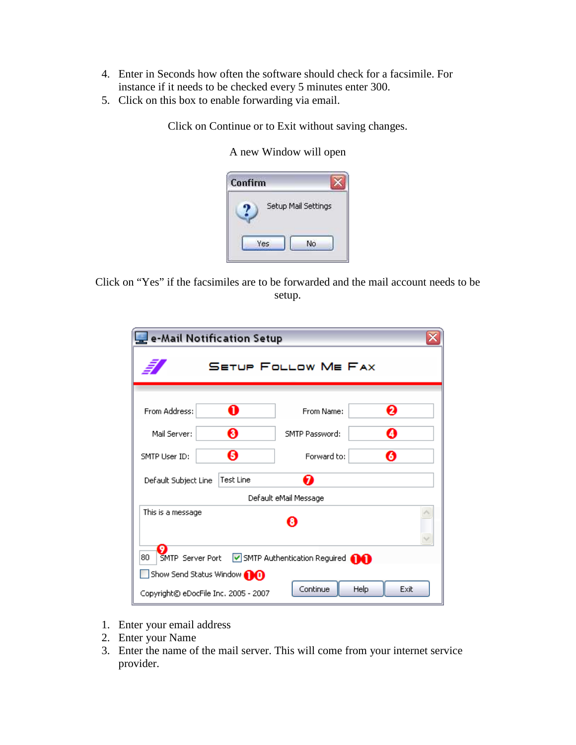- 4. Enter in Seconds how often the software should check for a facsimile. For instance if it needs to be checked every 5 minutes enter 300.
- 5. Click on this box to enable forwarding via email.

Click on Continue or to Exit without saving changes.

A new Window will open

| Confirm |                     |
|---------|---------------------|
|         | Setup Mail Settings |
|         |                     |

Click on "Yes" if the facsimiles are to be forwarded and the mail account needs to be setup.

| e-Mail Notification Setup                                          |           |                |   |  |  |  |
|--------------------------------------------------------------------|-----------|----------------|---|--|--|--|
| <b>SETUP FOLLOW ME FAX</b>                                         |           |                |   |  |  |  |
| From Address:                                                      | O         | From Name:     | Ø |  |  |  |
| Mail Server:                                                       | ❸         | SMTP Password: | A |  |  |  |
| SMTP User ID:                                                      | Θ         | Forward to:    | Ø |  |  |  |
| Default Subject Line                                               | Test Line | ุก             |   |  |  |  |
| Default eMail Message                                              |           |                |   |  |  |  |
| This is a message<br>O                                             |           |                |   |  |  |  |
| 80<br>SMTP Server Port<br>SMTP Authentication Reguired <b>(DC)</b> |           |                |   |  |  |  |
| Show Send Status Window <b>OO</b>                                  |           |                |   |  |  |  |
| Continue<br>Help<br>Exit<br>Copyright© eDocFile Inc. 2005 - 2007   |           |                |   |  |  |  |

- 1. Enter your email address
- 2. Enter your Name
- 3. Enter the name of the mail server. This will come from your internet service provider.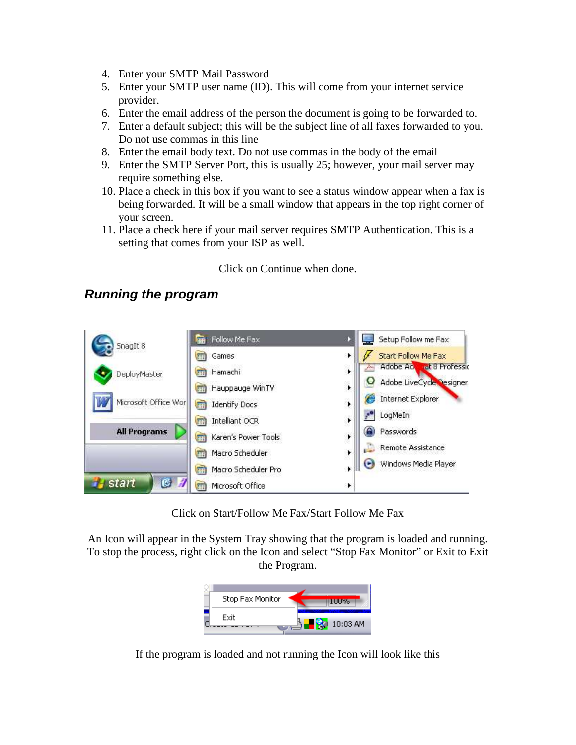- 4. Enter your SMTP Mail Password
- 5. Enter your SMTP user name (ID). This will come from your internet service provider.
- 6. Enter the email address of the person the document is going to be forwarded to.
- 7. Enter a default subject; this will be the subject line of all faxes forwarded to you. Do not use commas in this line
- 8. Enter the email body text. Do not use commas in the body of the email
- 9. Enter the SMTP Server Port, this is usually 25; however, your mail server may require something else.
- 10. Place a check in this box if you want to see a status window appear when a fax is being forwarded. It will be a small window that appears in the top right corner of your screen.
- 11. Place a check here if your mail server requires SMTP Authentication. This is a setting that comes from your ISP as well.

Click on Continue when done.

#### **Running the program**



Click on Start/Follow Me Fax/Start Follow Me Fax

An Icon will appear in the System Tray showing that the program is loaded and running. To stop the process, right click on the Icon and select "Stop Fax Monitor" or Exit to Exit the Program.



If the program is loaded and not running the Icon will look like this